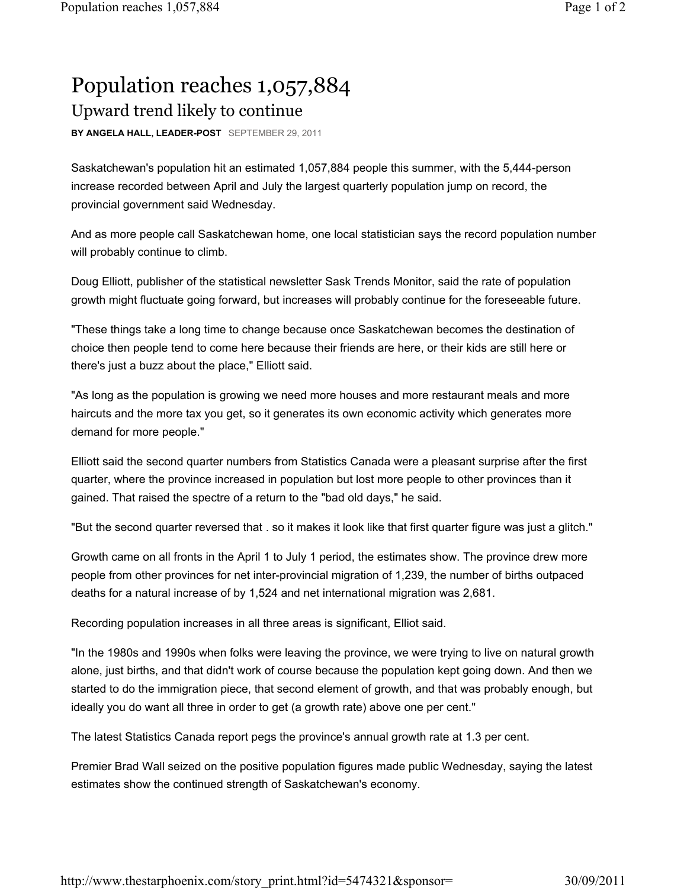## Population reaches 1,057,884 Upward trend likely to continue

**BY ANGELA HALL, LEADER-POST** SEPTEMBER 29, 2011

Saskatchewan's population hit an estimated 1,057,884 people this summer, with the 5,444-person increase recorded between April and July the largest quarterly population jump on record, the provincial government said Wednesday.

And as more people call Saskatchewan home, one local statistician says the record population number will probably continue to climb.

Doug Elliott, publisher of the statistical newsletter Sask Trends Monitor, said the rate of population growth might fluctuate going forward, but increases will probably continue for the foreseeable future.

"These things take a long time to change because once Saskatchewan becomes the destination of choice then people tend to come here because their friends are here, or their kids are still here or there's just a buzz about the place," Elliott said.

"As long as the population is growing we need more houses and more restaurant meals and more haircuts and the more tax you get, so it generates its own economic activity which generates more demand for more people."

Elliott said the second quarter numbers from Statistics Canada were a pleasant surprise after the first quarter, where the province increased in population but lost more people to other provinces than it gained. That raised the spectre of a return to the "bad old days," he said.

"But the second quarter reversed that . so it makes it look like that first quarter figure was just a glitch."

Growth came on all fronts in the April 1 to July 1 period, the estimates show. The province drew more people from other provinces for net inter-provincial migration of 1,239, the number of births outpaced deaths for a natural increase of by 1,524 and net international migration was 2,681.

Recording population increases in all three areas is significant, Elliot said.

"In the 1980s and 1990s when folks were leaving the province, we were trying to live on natural growth alone, just births, and that didn't work of course because the population kept going down. And then we started to do the immigration piece, that second element of growth, and that was probably enough, but ideally you do want all three in order to get (a growth rate) above one per cent."

The latest Statistics Canada report pegs the province's annual growth rate at 1.3 per cent.

Premier Brad Wall seized on the positive population figures made public Wednesday, saying the latest estimates show the continued strength of Saskatchewan's economy.